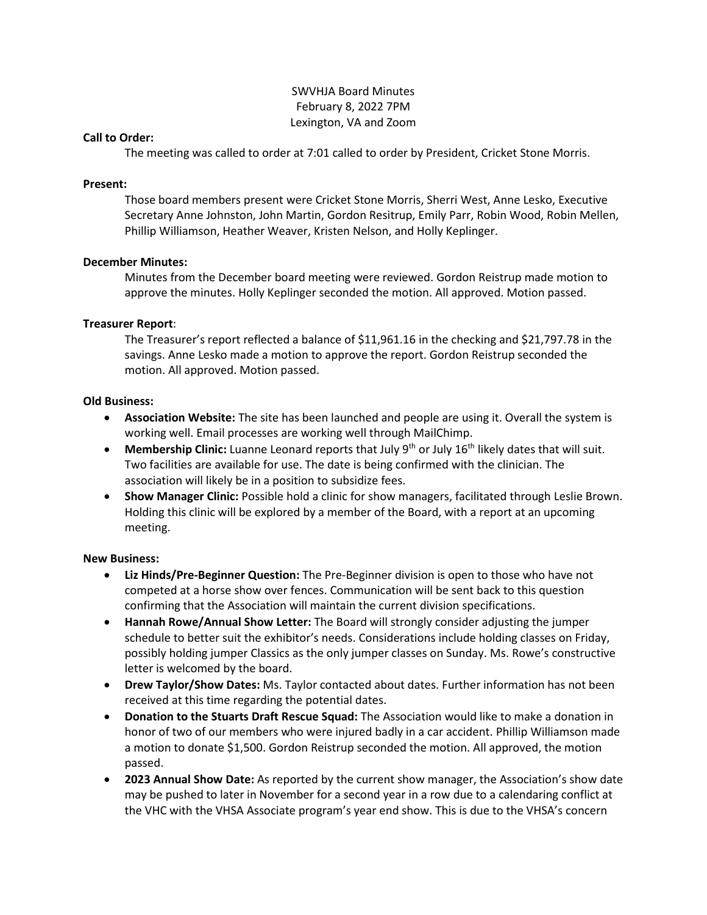# SWVHJA Board Minutes February 8, 2022 7PM Lexington, VA and Zoom

#### **Call to Order:**

The meeting was called to order at 7:01 called to order by President, Cricket Stone Morris.

#### **Present:**

Those board members present were Cricket Stone Morris, Sherri West, Anne Lesko, Executive Secretary Anne Johnston, John Martin, Gordon Resitrup, Emily Parr, Robin Wood, Robin Mellen, Phillip Williamson, Heather Weaver, Kristen Nelson, and Holly Keplinger.

#### **December Minutes:**

Minutes from the December board meeting were reviewed. Gordon Reistrup made motion to approve the minutes. Holly Keplinger seconded the motion. All approved. Motion passed.

#### **Treasurer Report**:

The Treasurer's report reflected a balance of \$11,961.16 in the checking and \$21,797.78 in the savings. Anne Lesko made a motion to approve the report. Gordon Reistrup seconded the motion. All approved. Motion passed.

### **Old Business:**

- **Association Website:** The site has been launched and people are using it. Overall the system is working well. Email processes are working well through MailChimp.
- Membership Clinic: Luanne Leonard reports that July 9<sup>th</sup> or July 16<sup>th</sup> likely dates that will suit. Two facilities are available for use. The date is being confirmed with the clinician. The association will likely be in a position to subsidize fees.
- **Show Manager Clinic:** Possible hold a clinic for show managers, facilitated through Leslie Brown. Holding this clinic will be explored by a member of the Board, with a report at an upcoming meeting.

## **New Business:**

- **Liz Hinds/Pre-Beginner Question:** The Pre-Beginner division is open to those who have not competed at a horse show over fences. Communication will be sent back to this question confirming that the Association will maintain the current division specifications.
- **Hannah Rowe/Annual Show Letter:** The Board will strongly consider adjusting the jumper schedule to better suit the exhibitor's needs. Considerations include holding classes on Friday, possibly holding jumper Classics as the only jumper classes on Sunday. Ms. Rowe's constructive letter is welcomed by the board.
- **Drew Taylor/Show Dates:** Ms. Taylor contacted about dates. Further information has not been received at this time regarding the potential dates.
- **Donation to the Stuarts Draft Rescue Squad:** The Association would like to make a donation in honor of two of our members who were injured badly in a car accident. Phillip Williamson made a motion to donate \$1,500. Gordon Reistrup seconded the motion. All approved, the motion passed.
- **2023 Annual Show Date:** As reported by the current show manager, the Association's show date may be pushed to later in November for a second year in a row due to a calendaring conflict at the VHC with the VHSA Associate program's year end show. This is due to the VHSA's concern